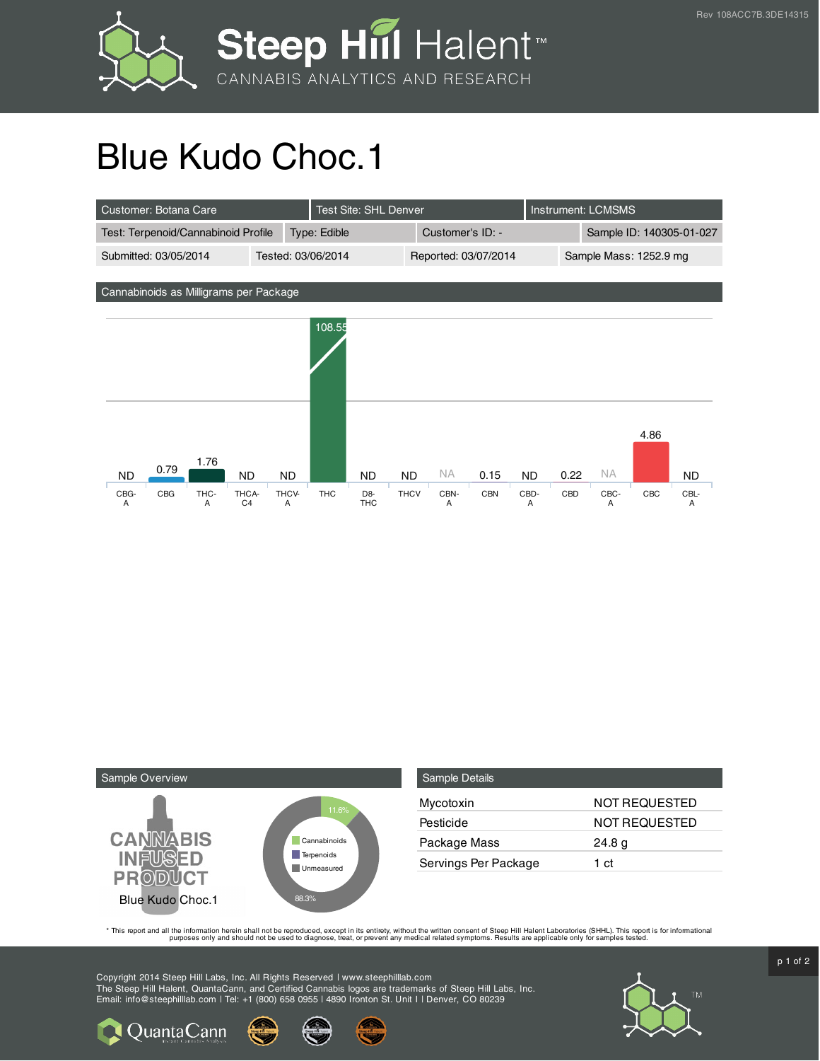

## Blue Kudo Choc.1

| Customer: Botana Care                                    |                    |              | <b>Test Site: SHL Denver</b>   |             |                      |            |           | <b>Instrument: LCMSMS</b> |           |      |           |  |
|----------------------------------------------------------|--------------------|--------------|--------------------------------|-------------|----------------------|------------|-----------|---------------------------|-----------|------|-----------|--|
| Test: Terpenoid/Cannabinoid Profile                      |                    | Type: Edible |                                |             | Customer's ID: -     |            |           | Sample ID: 140305-01-027  |           |      |           |  |
| Submitted: 03/05/2014                                    | Tested: 03/06/2014 |              |                                |             | Reported: 03/07/2014 |            |           | Sample Mass: 1252.9 mg    |           |      |           |  |
| Cannabinoids as Milligrams per Package                   |                    |              |                                |             |                      |            |           |                           |           |      |           |  |
|                                                          |                    | 108.55       |                                |             |                      |            |           |                           |           |      |           |  |
| 1.76<br>0.79<br><b>ND</b><br><b>ND</b>                   | <b>ND</b>          |              | <b>ND</b>                      | <b>ND</b>   | NA.                  | 0.15       | <b>ND</b> | 0.22                      | <b>NA</b> | 4.86 | <b>ND</b> |  |
| CBG-<br>CBG<br>THC-<br>THCA-<br>C <sub>4</sub><br>A<br>A | THCV-<br>A         | <b>THC</b>   | D <sub>8</sub> -<br><b>THC</b> | <b>THCV</b> | CBN-<br>Α            | <b>CBN</b> | CBD-<br>A | CBD                       | CBC-<br>A | CBC  | CBL-<br>Α |  |



**Q** Quanta Cann

| <b>Sample Details</b> |                      |
|-----------------------|----------------------|
| Mycotoxin             | <b>NOT REQUESTED</b> |
| Pesticide             | NOT REQUESTED        |
| Package Mass          | 24.8 <sub>g</sub>    |
| Servings Per Package  | 1 ct                 |

This report and all the information herein shall not be reporduced, except in its entirety, without the written consent of Steep Hill Halent Laboratories (SHHL). This report is for informational all the instance, treat, or

Copyright 2014 Steep Hill Labs, Inc. All Rights Reserved | www.steephilllab.com The Steep Hill Halent, QuantaCann, and Certified Cannabis logos are trademarks of Steep Hill Labs, Inc. Email: info@steephilllab.com | Tel: +1 (800) 658 0955 | 4890 Ironton St. Unit I | Denver, CO 80239